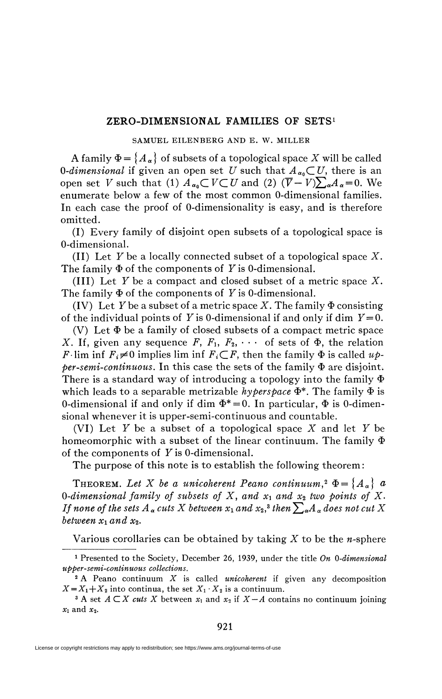## **ZERO-DIMENSIONAL FAMILIES OF SETS<sup>1</sup>**

## SAMUEL EILENBERG AND E. W. MILLER

A family  $\Phi = \{A_{\alpha}\}\$  of subsets of a topological space X will be called *O-dimensional* if given an open set *U* such that  $A_{\alpha_0} \subset U$ , there is an open set *V* such that (1)  $A_{\alpha_0}$   $\subset V \subset U$  and (2)  $(\overline{V} - V) \sum_{\alpha} A_{\alpha} = 0$ . We enumerate below a few of the most common O-dimensional families. In each case the proof of O-dimensionality is easy, and is therefore omitted.

(I) Every family of disjoint open subsets of a topological space is O-dimensional.

(II) Let F be a locally connected subset of a topological space *X.*  The family  $\Phi$  of the components of Y is 0-dimensional.

**(III)** Let F be a compact and closed subset of a metric space X. The family  $\Phi$  of the components of Y is 0-dimensional.

(IV) Let Y be a subset of a metric space X. The family  $\Phi$  consisting of the individual points of Y is 0-dimensional if and only if dim  $Y=0$ .

(V) Let  $\Phi$  be a family of closed subsets of a compact metric space *X*. If, given any sequence *F*,  $F_1$ ,  $F_2$ ,  $\cdots$  of sets of  $\Phi$ , the relation *F* lim inf  $F_i \neq 0$  implies lim inf  $F_i \subseteq F$ , then the family  $\Phi$  is called  $u\phi$  $per\text{-}semi\text{-}continuous$ . In this case the sets of the family  $\Phi$  are disjoint. There is a standard way of introducing a topology into the family  $\Phi$ which leads to a separable metrizable *hyperspace*  $\Phi^*$ . The family  $\Phi$  is 0-dimensional if and only if dim  $\Phi^* = 0$ . In particular,  $\Phi$  is 0-dimensional whenever it is upper-semi-continuous and countable.

(VI) Let Y be a subset of a topological space  $X$  and let Y be homeomorphic with a subset of the linear continuum. The family  $\Phi$ of the components of  $Y$  is 0-dimensional.

The purpose of this note is to establish the following theorem :

THEOREM. Let X be a unicoherent Peano continuum,<sup>2</sup>  $\Phi = \{A_\alpha\}$  a *O-dimensional family of subsets of*  $X$ *, and*  $x_1$  *and*  $x_2$  *two points of*  $X$ *. If none of the sets A*  $_{\alpha}$  *cuts X between x*1 and x<sub>2</sub>, $^{3}$  then  $\sum_{\alpha}$ A  $_{\alpha}$  does not cut X *between*  $x_1$  and  $x_2$ .

Various corollaries can be obtained by taking  $X$  to be the  $n$ -sphere

921

<sup>1</sup> Presented to the Society, December 26, 1939, under the title *On O-dimensional upper-semi-continuous collections.* 

*<sup>2</sup>* A Peano continuum *X* is called *unicoherent* if given any decomposition  $X = X_1 + X_2$  into continua, the set  $X_1 \cdot X_2$  is a continuum.

<sup>&</sup>lt;sup>3</sup> A set  $A \subset X$  cuts X between  $x_1$  and  $x_2$  if  $X - A$  contains no continuum joining  $x_1$  and  $x_2$ .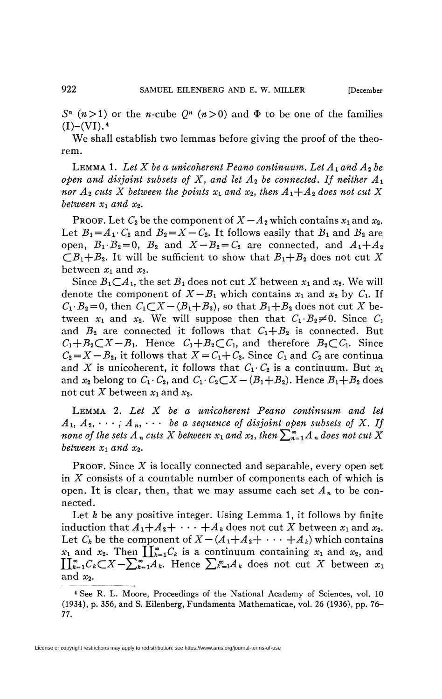$S<sup>n</sup>$  ( $n > 1$ ) or the *n*-cube  $Q<sup>n</sup>$  ( $n > 0$ ) and  $\Phi$  to be one of the families  $(I)$ – $(VI)$ .<sup>4</sup>

We shall establish two lemmas before giving the proof of the theorem.

LEMMA 1. Let X be a unicoherent Peano continuum. Let  $A_1$  and  $A_2$  be *open and disjoint subsets of X, and let*  $A_2$  *be connected. If neither*  $A_1$ *nor*  $A_2$  *cuts X between the points*  $x_1$  *and*  $x_2$ *, then*  $A_1+A_2$  *does not cut X between*  $x_1$  *and*  $x_2$ *.* 

PROOF. Let  $C_2$  be the component of  $X - A_2$  which contains  $x_1$  and  $x_2$ . Let  $B_1 = A_1 \cdot C_2$  and  $B_2 = X - C_2$ . It follows easily that  $B_1$  and  $B_2$  are open,  $B_1 \tcdot B_2 = 0$ ,  $B_2$  and  $X - B_2 = C_2$  are connected, and  $A_1 + A_2$  $(B_1 + B_2)$ . It will be sufficient to show that  $B_1 + B_2$  does not cut X between  $x_1$  and  $x_2$ .

Since  $B_1 \subset A_1$ , the set  $B_1$  does not cut X between  $x_1$  and  $x_2$ . We will denote the component of  $X - B_1$  which contains  $x_1$  and  $x_2$  by  $C_1$ . If  $C_1 \cdot B_2 = 0$ , then  $C_1 \subset X - (B_1 + B_2)$ , so that  $B_1 + B_2$  does not cut X between  $x_1$  and  $x_2$ . We will suppose then that  $C_1 \cdot B_2 \neq 0$ . Since  $C_1$ and  $B_2$  are connected it follows that  $C_1+B_2$  is connected. But  $C_1+B_2\subset X-B_1$ . Hence  $C_1+B_2\subset C_1$ , and therefore  $B_2\subset C_1$ . Since  $C_2 = X - B_2$ , it follows that  $X = C_1 + C_2$ . Since  $C_1$  and  $C_2$  are continua and *X* is unicoherent, it follows that  $C_1 \ncdot C_2$  is a continuum. But  $x_1$ and  $x_2$  belong to  $C_1 \cdot C_2$ , and  $C_1 \cdot C_2 \subset X - (B_1 + B_2)$ . Hence  $B_1 + B_2$  does not cut X between  $x_1$  and  $x_2$ .

LEMMA 2. Let X be a unicoherent Peano continuum and let  $A_1, A_2, \cdots, A_n, \cdots$  be a sequence of disjoint open subsets of X. If *none of the sets A<sub>n</sub> cuts X between*  $x_1$  *and*  $x_2$ *, then*  $\sum_{n=1}^{\infty} A_n$  *does not cut X between*  $x_1$  and  $x_2$ .

PROOF. Since *X* is locally connected and separable, every open set in *X* consists of a countable number of components each of which is open. It is clear, then, that we may assume each set  $A_n$  to be connected.

Let *k* be any positive integer. Using Lemma 1, it follows by finite induction that  $A_1 + A_2 + \cdots + A_k$  does not cut X between  $x_1$  and  $x_2$ . Let  $C_k$  be the component of  $X - (A_1 + A_2 + \cdots + A_k)$  which contains  $x_1$  and  $x_2$ . Then  $\prod_{k=1}^{\infty} C_k$  is a continuum containing  $x_1$  and  $x_2$ , and  $\prod_{k=1}^{\infty}C_k\subset X-\sum_{k=1}^{\infty}A_k$ . Hence  $\sum_{k=1}^{\infty}A_k$  does not cut X between  $x_1$ and  $x_2$ .

<sup>4</sup> See R. L. Moore, Proceedings of the National Academy of Sciences, vol. 10 (1934), p. 356, and S. Eilenberg, Fundamenta Mathematicae, vol. 26 (1936), pp. 76- 77.